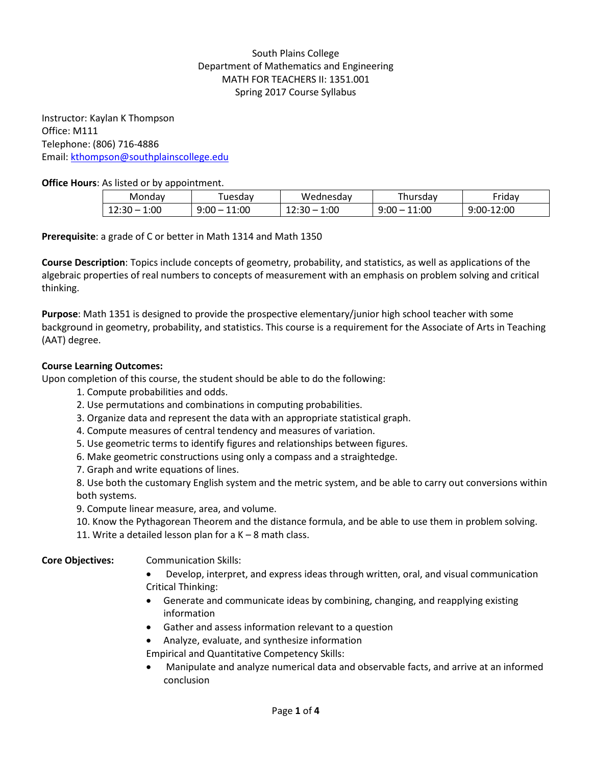# South Plains College Department of Mathematics and Engineering MATH FOR TEACHERS II: 1351.001 Spring 2017 Course Syllabus

Instructor: Kaylan K Thompson Office: M111 Telephone: (806) 716-4886 Email: [kthompson@southplainscollege.edu](mailto:kthompson@southplainscollege.edu)

## **Office Hours**: As listed or by appointment.

| Mondav        | uesdav                    | Wednesday                  | -<br>ursdav i | <sup>-</sup> riday |
|---------------|---------------------------|----------------------------|---------------|--------------------|
| 1:00<br>14.JU | $\overline{1:00}$<br>9:00 | 1:00<br>ີ C<br>14.JU<br>__ | 11:00<br>9:00 | 12:00<br>∵00-ر     |

## **Prerequisite**: a grade of C or better in Math 1314 and Math 1350

**Course Description**: Topics include concepts of geometry, probability, and statistics, as well as applications of the algebraic properties of real numbers to concepts of measurement with an emphasis on problem solving and critical thinking.

**Purpose**: Math 1351 is designed to provide the prospective elementary/junior high school teacher with some background in geometry, probability, and statistics. This course is a requirement for the Associate of Arts in Teaching (AAT) degree.

## **Course Learning Outcomes:**

Upon completion of this course, the student should be able to do the following:

- 1. Compute probabilities and odds.
- 2. Use permutations and combinations in computing probabilities.
- 3. Organize data and represent the data with an appropriate statistical graph.
- 4. Compute measures of central tendency and measures of variation.
- 5. Use geometric terms to identify figures and relationships between figures.
- 6. Make geometric constructions using only a compass and a straightedge.
- 7. Graph and write equations of lines.

8. Use both the customary English system and the metric system, and be able to carry out conversions within both systems.

9. Compute linear measure, area, and volume.

- 10. Know the Pythagorean Theorem and the distance formula, and be able to use them in problem solving.
- 11. Write a detailed lesson plan for a  $K 8$  math class.

## **Core Objectives:** Communication Skills:

- Develop, interpret, and express ideas through written, oral, and visual communication Critical Thinking:
- Generate and communicate ideas by combining, changing, and reapplying existing information
- Gather and assess information relevant to a question
- Analyze, evaluate, and synthesize information
- Empirical and Quantitative Competency Skills:
- Manipulate and analyze numerical data and observable facts, and arrive at an informed conclusion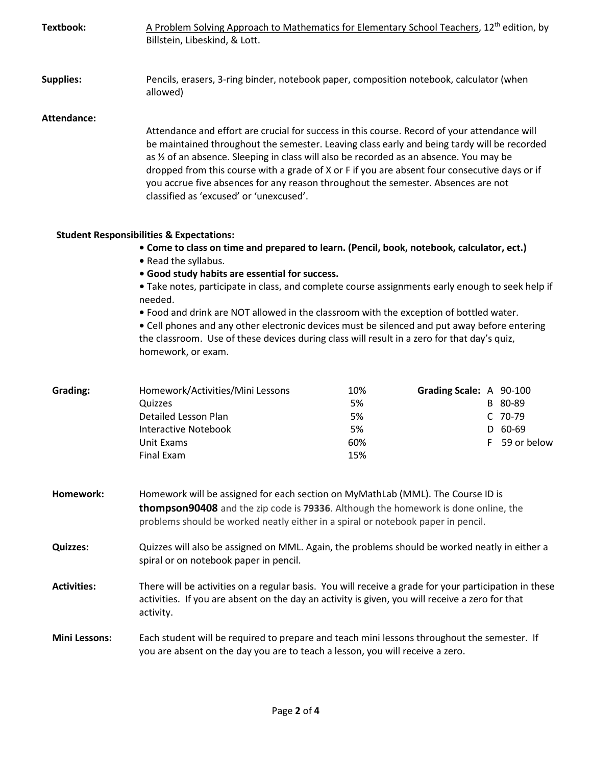| Textbook:            | A Problem Solving Approach to Mathematics for Elementary School Teachers, 12 <sup>th</sup> edition, by<br>Billstein, Libeskind, & Lott.                                                                                                                                                                                                                                                                                                                                                                                                                                                           |                                     |                         |                                                |
|----------------------|---------------------------------------------------------------------------------------------------------------------------------------------------------------------------------------------------------------------------------------------------------------------------------------------------------------------------------------------------------------------------------------------------------------------------------------------------------------------------------------------------------------------------------------------------------------------------------------------------|-------------------------------------|-------------------------|------------------------------------------------|
| <b>Supplies:</b>     | Pencils, erasers, 3-ring binder, notebook paper, composition notebook, calculator (when<br>allowed)                                                                                                                                                                                                                                                                                                                                                                                                                                                                                               |                                     |                         |                                                |
| <b>Attendance:</b>   | Attendance and effort are crucial for success in this course. Record of your attendance will<br>be maintained throughout the semester. Leaving class early and being tardy will be recorded<br>as 1/2 of an absence. Sleeping in class will also be recorded as an absence. You may be<br>dropped from this course with a grade of X or F if you are absent four consecutive days or if<br>you accrue five absences for any reason throughout the semester. Absences are not<br>classified as 'excused' or 'unexcused'.                                                                           |                                     |                         |                                                |
|                      | <b>Student Responsibilities &amp; Expectations:</b>                                                                                                                                                                                                                                                                                                                                                                                                                                                                                                                                               |                                     |                         |                                                |
|                      | • Come to class on time and prepared to learn. (Pencil, book, notebook, calculator, ect.)<br>• Read the syllabus.<br>• Good study habits are essential for success.<br>• Take notes, participate in class, and complete course assignments early enough to seek help if<br>needed.<br>. Food and drink are NOT allowed in the classroom with the exception of bottled water.<br>• Cell phones and any other electronic devices must be silenced and put away before entering<br>the classroom. Use of these devices during class will result in a zero for that day's quiz,<br>homework, or exam. |                                     |                         |                                                |
| Grading:             | Homework/Activities/Mini Lessons<br>Quizzes<br>Detailed Lesson Plan<br><b>Interactive Notebook</b><br>Unit Exams<br><b>Final Exam</b>                                                                                                                                                                                                                                                                                                                                                                                                                                                             | 10%<br>5%<br>5%<br>5%<br>60%<br>15% | Grading Scale: A 90-100 | B 80-89<br>C 70-79<br>D 60-69<br>F 59 or below |
| Homework:            | Homework will be assigned for each section on MyMathLab (MML). The Course ID is<br>thompson90408 and the zip code is 79336. Although the homework is done online, the<br>problems should be worked neatly either in a spiral or notebook paper in pencil.                                                                                                                                                                                                                                                                                                                                         |                                     |                         |                                                |
| <b>Quizzes:</b>      | Quizzes will also be assigned on MML. Again, the problems should be worked neatly in either a<br>spiral or on notebook paper in pencil.                                                                                                                                                                                                                                                                                                                                                                                                                                                           |                                     |                         |                                                |
| <b>Activities:</b>   | There will be activities on a regular basis. You will receive a grade for your participation in these<br>activities. If you are absent on the day an activity is given, you will receive a zero for that<br>activity.                                                                                                                                                                                                                                                                                                                                                                             |                                     |                         |                                                |
| <b>Mini Lessons:</b> | Each student will be required to prepare and teach mini lessons throughout the semester. If<br>you are absent on the day you are to teach a lesson, you will receive a zero.                                                                                                                                                                                                                                                                                                                                                                                                                      |                                     |                         |                                                |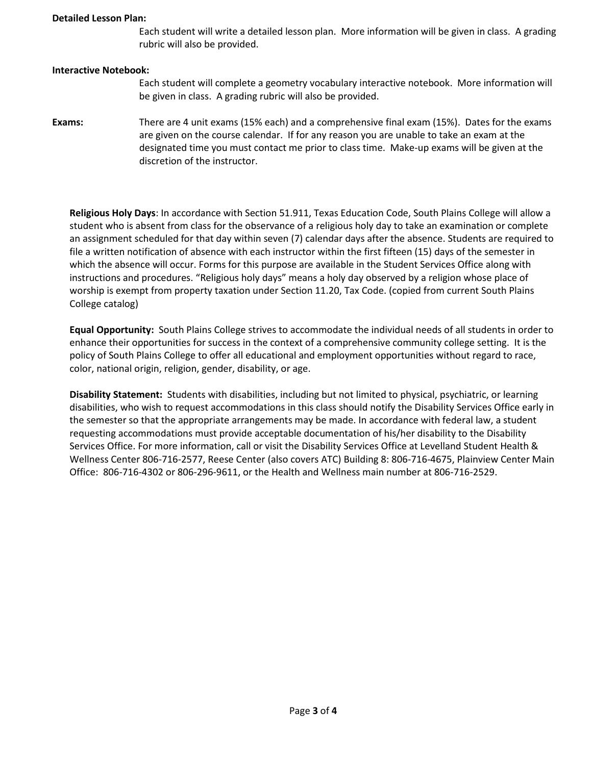#### **Detailed Lesson Plan:**

Each student will write a detailed lesson plan. More information will be given in class. A grading rubric will also be provided.

#### **Interactive Notebook:**

- Each student will complete a geometry vocabulary interactive notebook. More information will be given in class. A grading rubric will also be provided.
- **Exams:** There are 4 unit exams (15% each) and a comprehensive final exam (15%). Dates for the exams are given on the course calendar. If for any reason you are unable to take an exam at the designated time you must contact me prior to class time. Make-up exams will be given at the discretion of the instructor.

**Religious Holy Days**: In accordance with Section 51.911, Texas Education Code, South Plains College will allow a student who is absent from class for the observance of a religious holy day to take an examination or complete an assignment scheduled for that day within seven (7) calendar days after the absence. Students are required to file a written notification of absence with each instructor within the first fifteen (15) days of the semester in which the absence will occur. Forms for this purpose are available in the Student Services Office along with instructions and procedures. "Religious holy days" means a holy day observed by a religion whose place of worship is exempt from property taxation under Section 11.20, Tax Code. (copied from current South Plains College catalog)

**Equal Opportunity:** South Plains College strives to accommodate the individual needs of all students in order to enhance their opportunities for success in the context of a comprehensive community college setting. It is the policy of South Plains College to offer all educational and employment opportunities without regard to race, color, national origin, religion, gender, disability, or age.

**Disability Statement:** Students with disabilities, including but not limited to physical, psychiatric, or learning disabilities, who wish to request accommodations in this class should notify the Disability Services Office early in the semester so that the appropriate arrangements may be made. In accordance with federal law, a student requesting accommodations must provide acceptable documentation of his/her disability to the Disability Services Office. For more information, call or visit the Disability Services Office at Levelland Student Health & Wellness Center 806-716-2577, Reese Center (also covers ATC) Building 8: 806-716-4675, Plainview Center Main Office: 806-716-4302 or 806-296-9611, or the Health and Wellness main number at 806-716-2529.